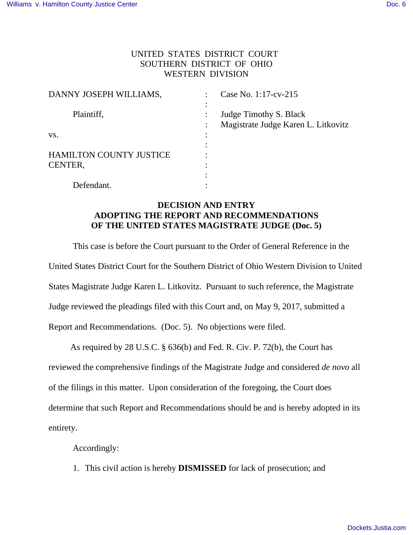## UNITED STATES DISTRICT COURT SOUTHERN DISTRICT OF OHIO WESTERN DIVISION

| DANNY JOSEPH WILLIAMS,         |   | Case No. 1:17-cv-215                |
|--------------------------------|---|-------------------------------------|
|                                |   |                                     |
| Plaintiff,                     |   | Judge Timothy S. Black              |
|                                |   | Magistrate Judge Karen L. Litkovitz |
| VS.                            |   |                                     |
|                                |   |                                     |
| <b>HAMILTON COUNTY JUSTICE</b> |   |                                     |
| CENTER,                        | ٠ |                                     |
|                                |   |                                     |
| Defendant.                     |   |                                     |

## **DECISION AND ENTRY ADOPTING THE REPORT AND RECOMMENDATIONS OF THE UNITED STATES MAGISTRATE JUDGE (Doc. 5)**

This case is before the Court pursuant to the Order of General Reference in the United States District Court for the Southern District of Ohio Western Division to United States Magistrate Judge Karen L. Litkovitz. Pursuant to such reference, the Magistrate Judge reviewed the pleadings filed with this Court and, on May 9, 2017, submitted a Report and Recommendations. (Doc. 5). No objections were filed.

 As required by 28 U.S.C. § 636(b) and Fed. R. Civ. P. 72(b), the Court has reviewed the comprehensive findings of the Magistrate Judge and considered *de novo* all of the filings in this matter. Upon consideration of the foregoing, the Court does determine that such Report and Recommendations should be and is hereby adopted in its entirety.

Accordingly:

1. This civil action is hereby **DISMISSED** for lack of prosecution; and